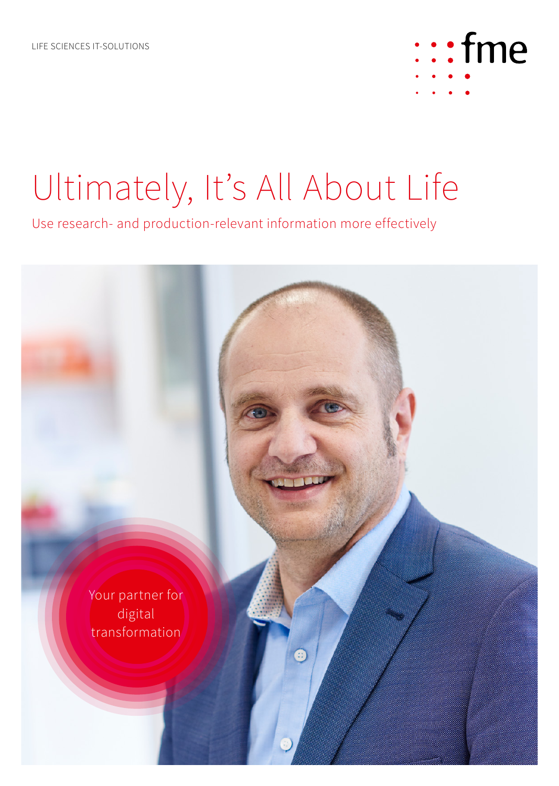

## Ultimately, It's All About Life

Use research- and production-relevant information more effectively

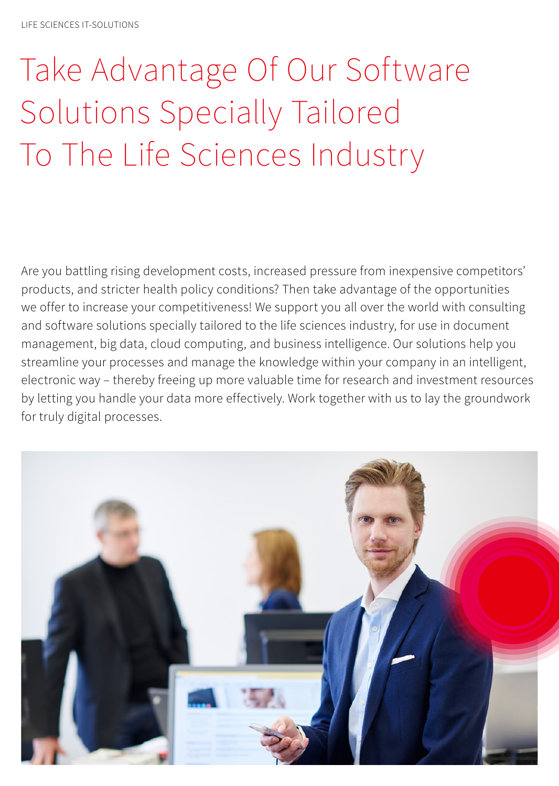# Take Advantage Of Our Software Solutions Specially Tailored To The Life Sciences Industry

Are you battling rising development costs, increased pressure from inexpensive competitors' products, and stricter health policy conditions? Then take advantage of the opportunities we offer to increase your competitiveness! We support you all over the world with consulting and software solutions specially tailored to the life sciences industry, for use in document management, big data, cloud computing, and business intelligence. Our solutions help you streamline your processes and manage the knowledge within your company in an intelligent, electronic way – thereby freeing up more valuable time for research and investment resources by letting you handle your data more effectively. Work together with us to lay the groundwork for truly digital processes.

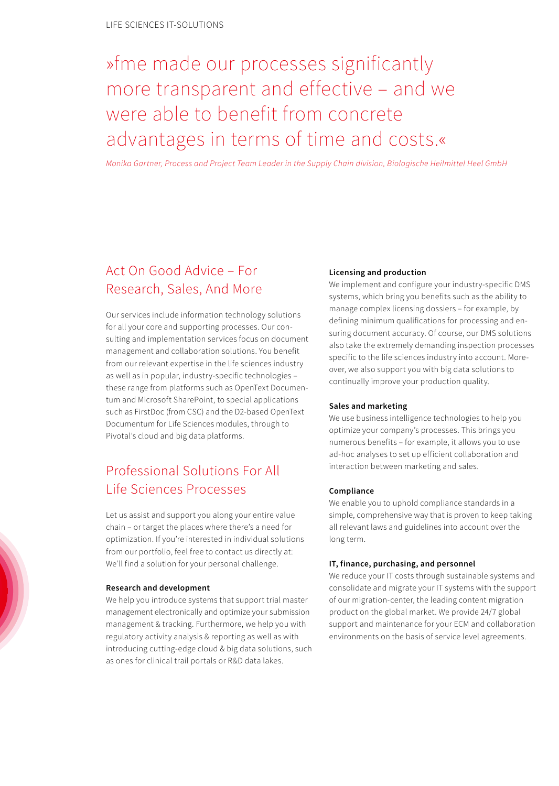## »fme made our processes significantly more transparent and effective – and we were able to benefit from concrete advantages in terms of time and costs.«

*Monika Gartner, Process and Project Team Leader in the Supply Chain division, Biologische Heilmittel Heel GmbH*

## Act On Good Advice – For Research, Sales, And More

Our services include information technology solutions for all your core and supporting processes. Our consulting and implementation services focus on document management and collaboration solutions. You benefit from our relevant expertise in the life sciences industry as well as in popular, industry-specific technologies – these range from platforms such as OpenText Documentum and Microsoft SharePoint, to special applications such as FirstDoc (from CSC) and the D2-based OpenText Documentum for Life Sciences modules, through to Pivotal's cloud and big data platforms.

## Professional Solutions For All Life Sciences Processes

Let us assist and support you along your entire value chain – or target the places where there's a need for optimization. If you're interested in individual solutions from our portfolio, feel free to contact us directly at: We'll find a solution for your personal challenge.

#### **Research and development**

We help you introduce systems that support trial master management electronically and optimize your submission management & tracking. Furthermore, we help you with regulatory activity analysis & reporting as well as with introducing cutting-edge cloud & big data solutions, such as ones for clinical trail portals or R&D data lakes.

#### **Licensing and production**

We implement and configure your industry-specific DMS systems, which bring you benefits such as the ability to manage complex licensing dossiers – for example, by defining minimum qualifications for processing and ensuring document accuracy. Of course, our DMS solutions also take the extremely demanding inspection processes specific to the life sciences industry into account. Moreover, we also support you with big data solutions to continually improve your production quality.

#### **Sales and marketing**

We use business intelligence technologies to help you optimize your company's processes. This brings you numerous benefits – for example, it allows you to use ad-hoc analyses to set up efficient collaboration and interaction between marketing and sales.

#### **Compliance**

We enable you to uphold compliance standards in a simple, comprehensive way that is proven to keep taking all relevant laws and guidelines into account over the long term.

#### **IT, finance, purchasing, and personnel**

We reduce your IT costs through sustainable systems and consolidate and migrate your IT systems with the support of our migration-center, the leading content migration product on the global market. We provide 24/7 global support and maintenance for your ECM and collaboration environments on the basis of service level agreements.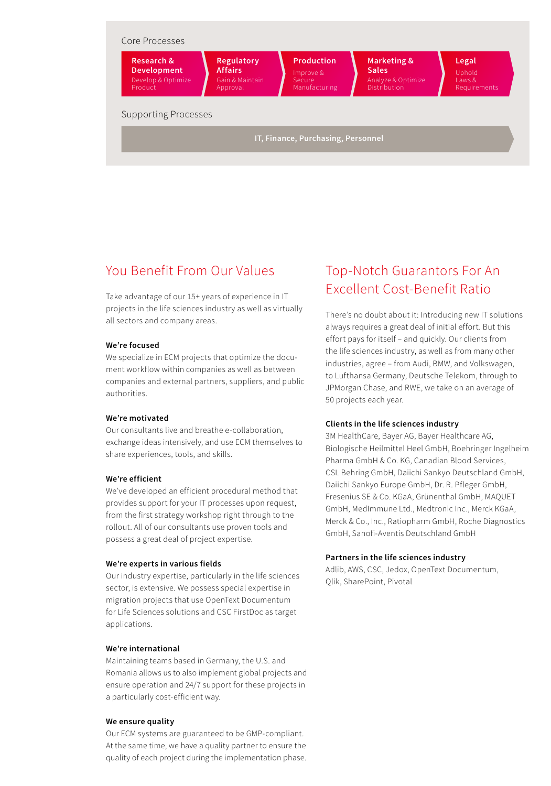

## You Benefit From Our Values

Take advantage of our 15+ years of experience in IT projects in the life sciences industry as well as virtually all sectors and company areas.

#### **We're focused**

We specialize in ECM projects that optimize the document workflow within companies as well as between companies and external partners, suppliers, and public authorities.

#### **We're motivated**

Our consultants live and breathe e-collaboration, exchange ideas intensively, and use ECM themselves to share experiences, tools, and skills.

#### **We're efficient**

We've developed an efficient procedural method that provides support for your IT processes upon request, from the first strategy workshop right through to the rollout. All of our consultants use proven tools and possess a great deal of project expertise.

#### **We're experts in various fields**

Our industry expertise, particularly in the life sciences sector, is extensive. We possess special expertise in migration projects that use OpenText Documentum for Life Sciences solutions and CSC FirstDoc as target applications.

#### **We're international**

Maintaining teams based in Germany, the U.S. and Romania allows us to also implement global projects and ensure operation and 24/7 support for these projects in a particularly cost-efficient way.

#### **We ensure quality**

Our ECM systems are guaranteed to be GMP-compliant. At the same time, we have a quality partner to ensure the quality of each project during the implementation phase.

### Top-Notch Guarantors For An Excellent Cost-Benefit Ratio

There's no doubt about it: Introducing new IT solutions always requires a great deal of initial effort. But this effort pays for itself – and quickly. Our clients from the life sciences industry, as well as from many other industries, agree – from Audi, BMW, and Volkswagen, to Lufthansa Germany, Deutsche Telekom, through to JPMorgan Chase, and RWE, we take on an average of 50 projects each year.

#### **Clients in the life sciences industry**

3M HealthCare, Bayer AG, Bayer Healthcare AG, Biologische Heilmittel Heel GmbH, Boehringer Ingelheim Pharma GmbH & Co. KG, Canadian Blood Services, CSL Behring GmbH, Daiichi Sankyo Deutschland GmbH, Daiichi Sankyo Europe GmbH, Dr. R. Pfleger GmbH, Fresenius SE & Co. KGaA, Grünenthal GmbH, MAQUET GmbH, MedImmune Ltd., Medtronic Inc., Merck KGaA, Merck & Co., Inc., Ratiopharm GmbH, Roche Diagnostics GmbH, Sanofi-Aventis Deutschland GmbH

#### **Partners in the life sciences industry**

Adlib, AWS, CSC, Jedox, OpenText Documentum, Qlik, SharePoint, Pivotal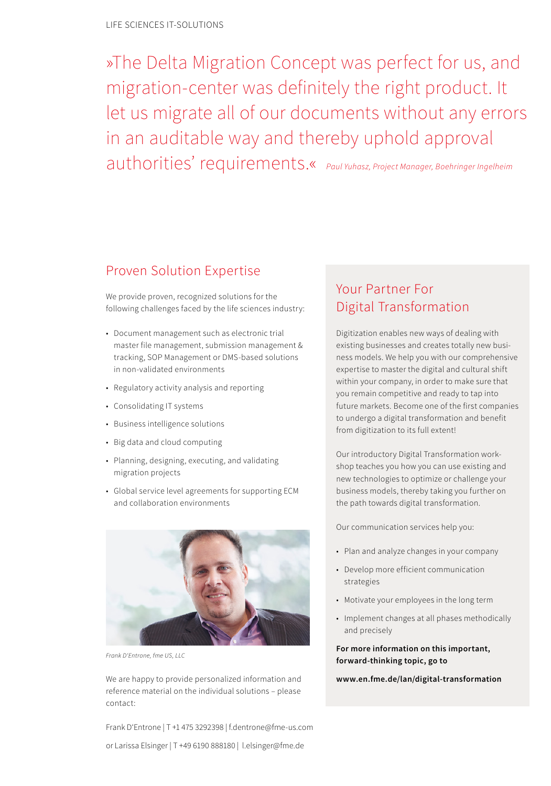»The Delta Migration Concept was perfect for us, and migration-center was definitely the right product. It let us migrate all of our documents without any errors in an auditable way and thereby uphold approval authorities' requirements.« *Paul Yuhasz, Project Manager, Boehringer Ingelheim*

### Proven Solution Expertise

We provide proven, recognized solutions for the following challenges faced by the life sciences industry:

- Document management such as electronic trial master file management, submission management & tracking, SOP Management or DMS-based solutions in non-validated environments
- Regulatory activity analysis and reporting
- Consolidating IT systems
- Business intelligence solutions
- Big data and cloud computing
- Planning, designing, executing, and validating migration projects
- Global service level agreements for supporting ECM and collaboration environments



*Frank D'Entrone, fme US, LLC*

We are happy to provide personalized information and reference material on the individual solutions – please contact:

Frank D'Entrone | T +1 475 3292398 | f.dentrone@fme-us.com or Larissa Elsinger | T +49 6190 888180 | l.elsinger@fme.de

## Your Partner For Digital Transformation

Digitization enables new ways of dealing with existing businesses and creates totally new business models. We help you with our comprehensive expertise to master the digital and cultural shift within your company, in order to make sure that you remain competitive and ready to tap into future markets. Become one of the first companies to undergo a digital transformation and benefit from digitization to its full extent!

Our introductory Digital Transformation workshop teaches you how you can use existing and new technologies to optimize or challenge your business models, thereby taking you further on the path towards digital transformation.

Our communication services help you:

- Plan and analyze changes in your company
- Develop more efficient communication strategies
- Motivate your employees in the long term
- Implement changes at all phases methodically and precisely

**For more information on this important, forward-thinking topic, go to** 

**www.en.fme.de/lan/digital-transformation**